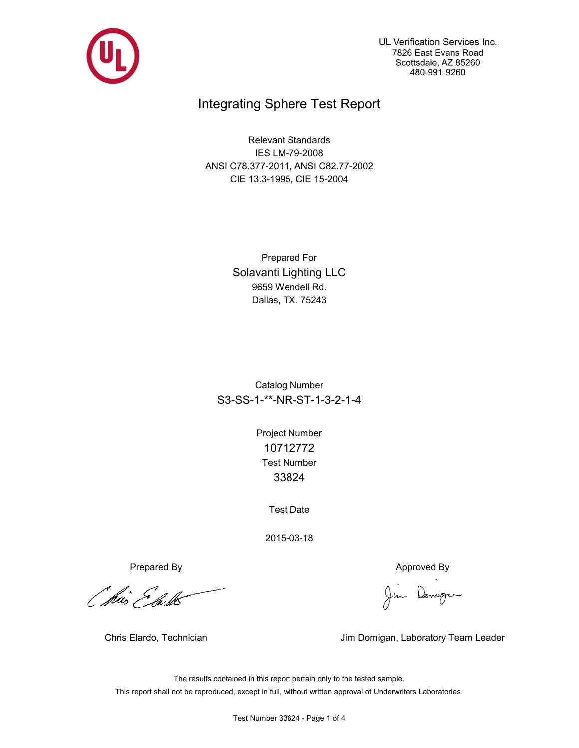

UL Verification Services Inc. 7826 East Evans Road Scottsdale, AZ 85260 480-991-9260

## Integrating Sphere Test Report

Relevant Standards IES LM-79-2008 ANSI C78.377-2011, ANSI C82.77-2002 CIE 13.3-1995, CIE 15-2004

> Prepared For Solavanti Lighting LLC 9659 Wendell Rd. Dallas, TX. 75243

Catalog Number S3-SS-1-\*\*-NR-ST-1-3-2-1-4

> Test Number 33824 Project Number 10712772

> > Test Date

2015-03-18

Prepared By Approved By

*Othis Elask* 

Jim Domgen

Chris Elardo, Technician **Jim Domigan, Laboratory Team Leader** 

The results contained in this report pertain only to the tested sample. This report shall not be reproduced, except in full, without written approval of Underwriters Laboratories.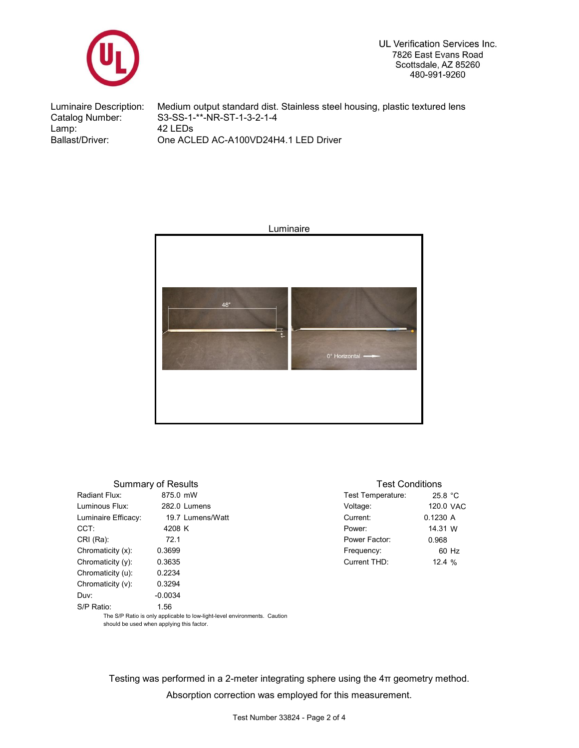

UL Verification Services Inc. 7826 East Evans Road Scottsdale, AZ 85260 480-991-9260

Catalog Number: S3-SS-1-\*\*-NR-ST-1-3-2-1-4<br>Lamp: 42 LEDs Lamp: 42 LEDs<br>Ballast/Driver: 0ne ACL

Luminaire Description: Medium output standard dist. Stainless steel housing, plastic textured lens One ACLED AC-A100VD24H4.1 LED Driver



|                      | Summary of Results                                                        |                   | Test Conditions |  |  |  |  |  |  |
|----------------------|---------------------------------------------------------------------------|-------------------|-----------------|--|--|--|--|--|--|
| Radiant Flux:        | 875.0 mW                                                                  | Test Temperature: | 25.8 $°C$       |  |  |  |  |  |  |
| Luminous Flux:       | 282.0 Lumens                                                              | Voltage:          | 120.0 VAC       |  |  |  |  |  |  |
| Luminaire Efficacy:  | 19.7 Lumens/Watt                                                          | Current:          | 0.1230A         |  |  |  |  |  |  |
| CCT:                 | 4208 K                                                                    | Power:            | 14.31 W         |  |  |  |  |  |  |
| CRI (Ra):            | 72.1                                                                      | Power Factor:     | 0.968           |  |  |  |  |  |  |
| Chromaticity (x):    | 0.3699                                                                    | Frequency:        | 60 Hz           |  |  |  |  |  |  |
| Chromaticity $(v)$ : | 0.3635                                                                    | Current THD:      | 12.4%           |  |  |  |  |  |  |
| Chromaticity (u):    | 0.2234                                                                    |                   |                 |  |  |  |  |  |  |
| Chromaticity (v):    | 0.3294                                                                    |                   |                 |  |  |  |  |  |  |
| Duv:                 | $-0.0034$                                                                 |                   |                 |  |  |  |  |  |  |
| S/P Ratio:           | 1.56                                                                      |                   |                 |  |  |  |  |  |  |
|                      | The S/D Patio is only applicable to low light level environments. Caution |                   |                 |  |  |  |  |  |  |

The S/P Ratio is only applicable to low-light-level environments. Caution should be used when applying this factor.

Testing was performed in a 2-meter integrating sphere using the 4π geometry method. Absorption correction was employed for this measurement.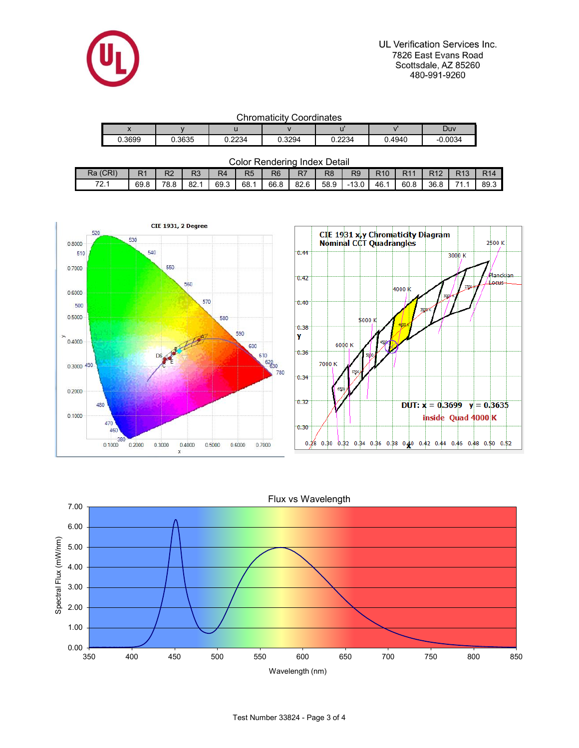

UL Verification Services Inc. 7826 East Evans Road Scottsdale, AZ 85260 480-991-9260

| <b>Chromaticity Coordinates</b> |  |
|---------------------------------|--|
|---------------------------------|--|

|                          | ---------------<br>_ _ _ _ . _ |        |        |        |        |           |  |  |  |  |  |  |  |  |
|--------------------------|--------------------------------|--------|--------|--------|--------|-----------|--|--|--|--|--|--|--|--|
| $\overline{\phantom{a}}$ |                                |        |        |        |        | Duv       |  |  |  |  |  |  |  |  |
| 0.3699                   | J.3635                         | 0.2234 | 0.3294 | 0.2234 | 0.4940 | $-0.0034$ |  |  |  |  |  |  |  |  |

| <b>Color Rendering Index Detail</b> |  |
|-------------------------------------|--|
|-------------------------------------|--|

| (CRI)<br>Ra    | D <sub>4</sub><br>R I | פח<br>৲∼ | D <sub>0</sub><br>- 1 | R4<br>$-$ | R <sub>5</sub> | R <sub>6</sub> | n,<br>$\lambda$ | R <sub>8</sub> | R <sub>9</sub> | <b>R10</b> | R1   | D4Q  | $\Gamma$ 40 | D <sub>4</sub> |
|----------------|-----------------------|----------|-----------------------|-----------|----------------|----------------|-----------------|----------------|----------------|------------|------|------|-------------|----------------|
| 70.4<br>$\sim$ | 69.8                  | 78.8     | റെ<br>. OZ.           | 69.3      | 68.            | 66.8           | 82.6            | 58.9           | 13.0<br>- 1    | 46. .      | 60.8 | 36.8 | 74          | 89.3           |